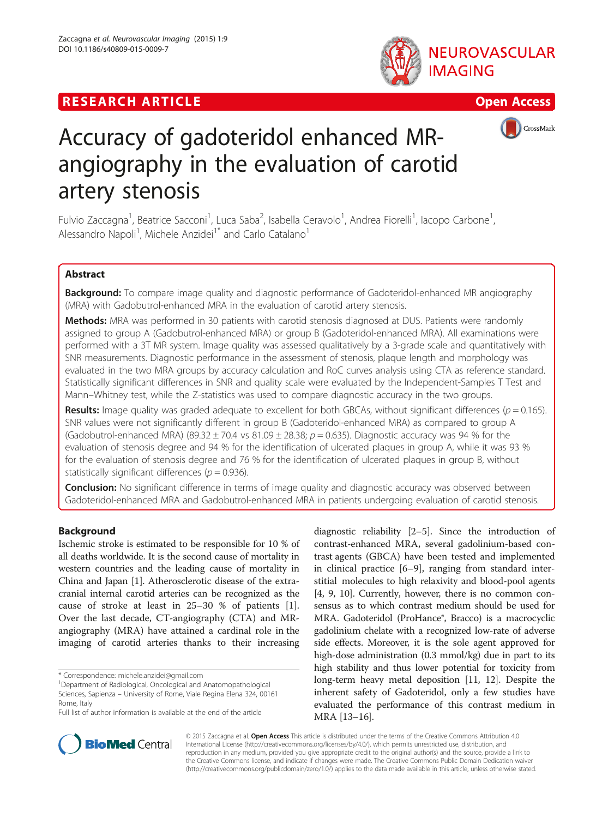







# Accuracy of gadoteridol enhanced MRangiography in the evaluation of carotid artery stenosis

Fulvio Zaccagna<sup>1</sup>, Beatrice Sacconi<sup>1</sup>, Luca Saba<sup>2</sup>, Isabella Ceravolo<sup>1</sup>, Andrea Fiorelli<sup>1</sup>, Iacopo Carbone<sup>1</sup> , Alessandro Napoli<sup>1</sup>, Michele Anzidei<sup>1\*</sup> and Carlo Catalano<sup>1</sup>

# Abstract

**Background:** To compare image quality and diagnostic performance of Gadoteridol-enhanced MR angiography (MRA) with Gadobutrol-enhanced MRA in the evaluation of carotid artery stenosis.

**Methods:** MRA was performed in 30 patients with carotid stenosis diagnosed at DUS. Patients were randomly assigned to group A (Gadobutrol-enhanced MRA) or group B (Gadoteridol-enhanced MRA). All examinations were performed with a 3T MR system. Image quality was assessed qualitatively by a 3-grade scale and quantitatively with SNR measurements. Diagnostic performance in the assessment of stenosis, plaque length and morphology was evaluated in the two MRA groups by accuracy calculation and RoC curves analysis using CTA as reference standard. Statistically significant differences in SNR and quality scale were evaluated by the Independent-Samples T Test and Mann–Whitney test, while the Z-statistics was used to compare diagnostic accuracy in the two groups.

Results: Image quality was graded adequate to excellent for both GBCAs, without significant differences ( $p = 0.165$ ). SNR values were not significantly different in group B (Gadoteridol-enhanced MRA) as compared to group A (Gadobutrol-enhanced MRA) (89.32  $\pm$  70.4 vs 81.09  $\pm$  28.38;  $p$  = 0.635). Diagnostic accuracy was 94 % for the evaluation of stenosis degree and 94 % for the identification of ulcerated plaques in group A, while it was 93 % for the evaluation of stenosis degree and 76 % for the identification of ulcerated plaques in group B, without statistically significant differences ( $p = 0.936$ ).

**Conclusion:** No significant difference in terms of image quality and diagnostic accuracy was observed between Gadoteridol-enhanced MRA and Gadobutrol-enhanced MRA in patients undergoing evaluation of carotid stenosis.

# Background

Ischemic stroke is estimated to be responsible for 10 % of all deaths worldwide. It is the second cause of mortality in western countries and the leading cause of mortality in China and Japan [\[1](#page-6-0)]. Atherosclerotic disease of the extracranial internal carotid arteries can be recognized as the cause of stroke at least in 25–30 % of patients [\[1](#page-6-0)]. Over the last decade, CT-angiography (CTA) and MRangiography (MRA) have attained a cardinal role in the imaging of carotid arteries thanks to their increasing

\* Correspondence: [michele.anzidei@gmail.com](mailto:michele.anzidei@gmail.com) <sup>1</sup>

<sup>1</sup> Department of Radiological, Oncological and Anatomopathological Sciences, Sapienza – University of Rome, Viale Regina Elena 324, 00161 Rome, Italy

diagnostic reliability [[2](#page-6-0)–[5](#page-6-0)]. Since the introduction of contrast-enhanced MRA, several gadolinium-based contrast agents (GBCA) have been tested and implemented in clinical practice [[6](#page-6-0)–[9](#page-6-0)], ranging from standard interstitial molecules to high relaxivity and blood-pool agents [[4, 9](#page-6-0), [10](#page-6-0)]. Currently, however, there is no common consensus as to which contrast medium should be used for MRA. Gadoteridol (ProHance®, Bracco) is a macrocyclic gadolinium chelate with a recognized low-rate of adverse side effects. Moreover, it is the sole agent approved for high-dose administration (0.3 mmol/kg) due in part to its high stability and thus lower potential for toxicity from long-term heavy metal deposition [\[11, 12\]](#page-6-0). Despite the inherent safety of Gadoteridol, only a few studies have evaluated the performance of this contrast medium in MRA [[13](#page-6-0)–[16\]](#page-6-0).



© 2015 Zaccagna et al. Open Access This article is distributed under the terms of the Creative Commons Attribution 4.0 International License [\(http://creativecommons.org/licenses/by/4.0/](http://creativecommons.org/licenses/by/4.0/)), which permits unrestricted use, distribution, and reproduction in any medium, provided you give appropriate credit to the original author(s) and the source, provide a link to the Creative Commons license, and indicate if changes were made. The Creative Commons Public Domain Dedication waiver [\(http://creativecommons.org/publicdomain/zero/1.0/](http://creativecommons.org/publicdomain/zero/1.0/)) applies to the data made available in this article, unless otherwise stated.

Full list of author information is available at the end of the article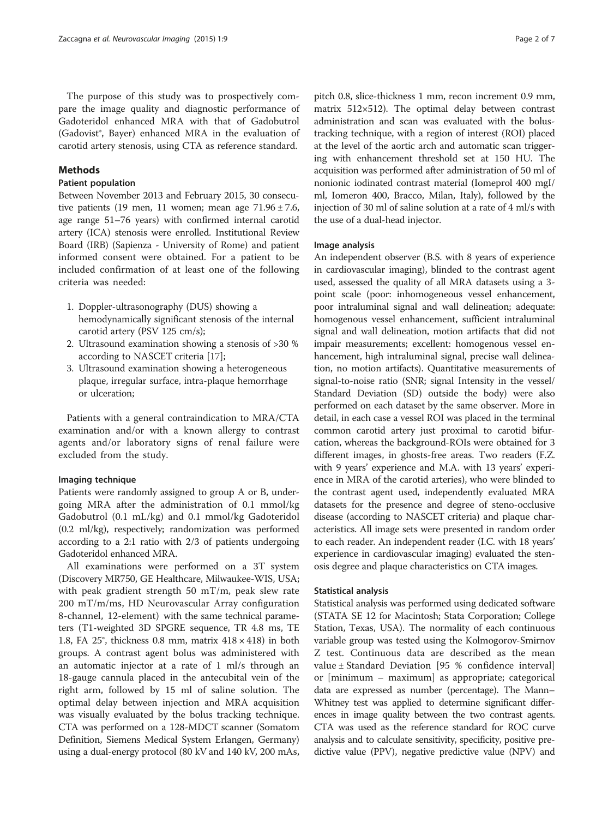The purpose of this study was to prospectively compare the image quality and diagnostic performance of Gadoteridol enhanced MRA with that of Gadobutrol (Gadovist®, Bayer) enhanced MRA in the evaluation of carotid artery stenosis, using CTA as reference standard.

## Methods

## Patient population

Between November 2013 and February 2015, 30 consecutive patients (19 men, 11 women; mean age  $71.96 \pm 7.6$ , age range 51–76 years) with confirmed internal carotid artery (ICA) stenosis were enrolled. Institutional Review Board (IRB) (Sapienza - University of Rome) and patient informed consent were obtained. For a patient to be included confirmation of at least one of the following criteria was needed:

- 1. Doppler-ultrasonography (DUS) showing a hemodynamically significant stenosis of the internal carotid artery (PSV 125 cm/s);
- 2. Ultrasound examination showing a stenosis of >30 % according to NASCET criteria [[17\]](#page-6-0);
- 3. Ultrasound examination showing a heterogeneous plaque, irregular surface, intra-plaque hemorrhage or ulceration;

Patients with a general contraindication to MRA/CTA examination and/or with a known allergy to contrast agents and/or laboratory signs of renal failure were excluded from the study.

# Imaging technique

Patients were randomly assigned to group A or B, undergoing MRA after the administration of 0.1 mmol/kg Gadobutrol (0.1 mL/kg) and 0.1 mmol/kg Gadoteridol (0.2 ml/kg), respectively; randomization was performed according to a 2:1 ratio with 2/3 of patients undergoing Gadoteridol enhanced MRA.

All examinations were performed on a 3T system (Discovery MR750, GE Healthcare, Milwaukee-WIS, USA; with peak gradient strength 50 mT/m, peak slew rate 200 mT/m/ms, HD Neurovascular Array configuration 8-channel, 12-element) with the same technical parameters (T1-weighted 3D SPGRE sequence, TR 4.8 ms, TE 1.8, FA 25 $^{\circ}$ , thickness 0.8 mm, matrix  $418 \times 418$ ) in both groups. A contrast agent bolus was administered with an automatic injector at a rate of 1 ml/s through an 18-gauge cannula placed in the antecubital vein of the right arm, followed by 15 ml of saline solution. The optimal delay between injection and MRA acquisition was visually evaluated by the bolus tracking technique. CTA was performed on a 128-MDCT scanner (Somatom Definition, Siemens Medical System Erlangen, Germany) using a dual-energy protocol (80 kV and 140 kV, 200 mAs,

pitch 0.8, slice-thickness 1 mm, recon increment 0.9 mm, matrix 512×512). The optimal delay between contrast administration and scan was evaluated with the bolustracking technique, with a region of interest (ROI) placed at the level of the aortic arch and automatic scan triggering with enhancement threshold set at 150 HU. The acquisition was performed after administration of 50 ml of nonionic iodinated contrast material (Iomeprol 400 mgI/ ml, Iomeron 400, Bracco, Milan, Italy), followed by the injection of 30 ml of saline solution at a rate of 4 ml/s with the use of a dual-head injector.

## Image analysis

An independent observer (B.S. with 8 years of experience in cardiovascular imaging), blinded to the contrast agent used, assessed the quality of all MRA datasets using a 3 point scale (poor: inhomogeneous vessel enhancement, poor intraluminal signal and wall delineation; adequate: homogenous vessel enhancement, sufficient intraluminal signal and wall delineation, motion artifacts that did not impair measurements; excellent: homogenous vessel enhancement, high intraluminal signal, precise wall delineation, no motion artifacts). Quantitative measurements of signal-to-noise ratio (SNR; signal Intensity in the vessel/ Standard Deviation (SD) outside the body) were also performed on each dataset by the same observer. More in detail, in each case a vessel ROI was placed in the terminal common carotid artery just proximal to carotid bifurcation, whereas the background-ROIs were obtained for 3 different images, in ghosts-free areas. Two readers (F.Z. with 9 years' experience and M.A. with 13 years' experience in MRA of the carotid arteries), who were blinded to the contrast agent used, independently evaluated MRA datasets for the presence and degree of steno-occlusive disease (according to NASCET criteria) and plaque characteristics. All image sets were presented in random order to each reader. An independent reader (I.C. with 18 years' experience in cardiovascular imaging) evaluated the stenosis degree and plaque characteristics on CTA images.

#### Statistical analysis

Statistical analysis was performed using dedicated software (STATA SE 12 for Macintosh; Stata Corporation; College Station, Texas, USA). The normality of each continuous variable group was tested using the Kolmogorov-Smirnov Z test. Continuous data are described as the mean value ± Standard Deviation [95 % confidence interval] or [minimum – maximum] as appropriate; categorical data are expressed as number (percentage). The Mann– Whitney test was applied to determine significant differences in image quality between the two contrast agents. CTA was used as the reference standard for ROC curve analysis and to calculate sensitivity, specificity, positive predictive value (PPV), negative predictive value (NPV) and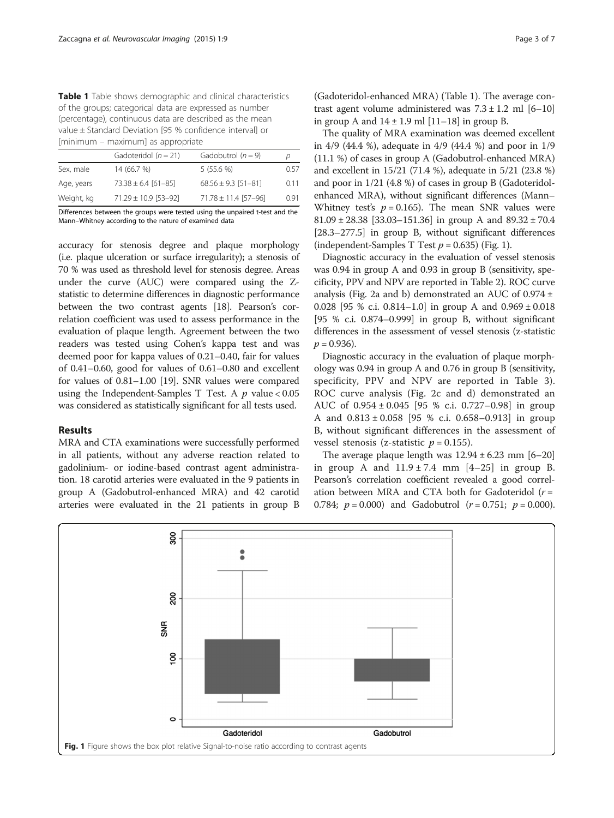Table 1 Table shows demographic and clinical characteristics of the groups; categorical data are expressed as number (percentage), continuous data are described as the mean value ± Standard Deviation [95 % confidence interval] or [minimum – maximum] as appropriate

|            | Gadoteridol $(n = 21)$   | Gadobutrol $(n = 9)$     | D    |
|------------|--------------------------|--------------------------|------|
| Sex, male  | 14 (66.7 %)              | 5(55.6%)                 | 0.57 |
| Age, years | $73.38 \pm 6.4$ [61-85]  | $68.56 \pm 9.3$ [51-81]  | 0.11 |
| Weight, kg | $71.29 \pm 10.9$ [53-92] | $71.78 \pm 11.4$ [57-96] | O 91 |
|            |                          |                          |      |

Differences between the groups were tested using the unpaired t-test and the Mann–Whitney according to the nature of examined data

accuracy for stenosis degree and plaque morphology (i.e. plaque ulceration or surface irregularity); a stenosis of 70 % was used as threshold level for stenosis degree. Areas under the curve (AUC) were compared using the Zstatistic to determine differences in diagnostic performance between the two contrast agents [\[18\]](#page-6-0). Pearson's correlation coefficient was used to assess performance in the evaluation of plaque length. Agreement between the two readers was tested using Cohen's kappa test and was deemed poor for kappa values of 0.21–0.40, fair for values of 0.41–0.60, good for values of 0.61–0.80 and excellent for values of 0.81–1.00 [\[19\]](#page-6-0). SNR values were compared using the Independent-Samples T Test. A  $p$  value < 0.05 was considered as statistically significant for all tests used.

#### Results

MRA and CTA examinations were successfully performed in all patients, without any adverse reaction related to gadolinium- or iodine-based contrast agent administration. 18 carotid arteries were evaluated in the 9 patients in group A (Gadobutrol-enhanced MRA) and 42 carotid arteries were evaluated in the 21 patients in group B

(Gadoteridol-enhanced MRA) (Table 1). The average contrast agent volume administered was  $7.3 \pm 1.2$  ml  $[6-10]$ in group A and  $14 \pm 1.9$  ml  $[11-18]$  in group B.

The quality of MRA examination was deemed excellent in 4/9 (44.4 %), adequate in 4/9 (44.4 %) and poor in 1/9 (11.1 %) of cases in group A (Gadobutrol-enhanced MRA) and excellent in 15/21 (71.4 %), adequate in 5/21 (23.8 %) and poor in 1/21 (4.8 %) of cases in group B (Gadoteridolenhanced MRA), without significant differences (Mann– Whitney test's  $p = 0.165$ ). The mean SNR values were 81.09  $\pm$  28.38 [33.03–151.36] in group A and 89.32  $\pm$  70.4 [28.3–277.5] in group B, without significant differences (independent-Samples T Test  $p = 0.635$ ) (Fig. 1).

Diagnostic accuracy in the evaluation of vessel stenosis was 0.94 in group A and 0.93 in group B (sensitivity, specificity, PPV and NPV are reported in Table [2\)](#page-3-0). ROC curve analysis (Fig. [2a](#page-3-0) and [b](#page-3-0)) demonstrated an AUC of  $0.974 \pm$ 0.028 [95 % c.i. 0.814–1.0] in group A and  $0.969 \pm 0.018$ [95 % c.i. 0.874–0.999] in group B, without significant differences in the assessment of vessel stenosis (z-statistic  $p = 0.936$ ).

Diagnostic accuracy in the evaluation of plaque morphology was 0.94 in group A and 0.76 in group B (sensitivity, specificity, PPV and NPV are reported in Table [3](#page-4-0)). ROC curve analysis (Fig. [2c](#page-3-0) and [d](#page-3-0)) demonstrated an AUC of 0.954 ± 0.045 [95 % c.i. 0.727–0.98] in group A and 0.813 ± 0.058 [95 % c.i. 0.658–0.913] in group B, without significant differences in the assessment of vessel stenosis (z-statistic  $p = 0.155$ ).

The average plaque length was  $12.94 \pm 6.23$  mm  $[6–20]$ in group A and  $11.9 \pm 7.4$  mm  $[4-25]$  in group B. Pearson's correlation coefficient revealed a good correlation between MRA and CTA both for Gadoteridol  $(r =$ 0.784;  $p = 0.000$ ) and Gadobutrol  $(r = 0.751; p = 0.000)$ .

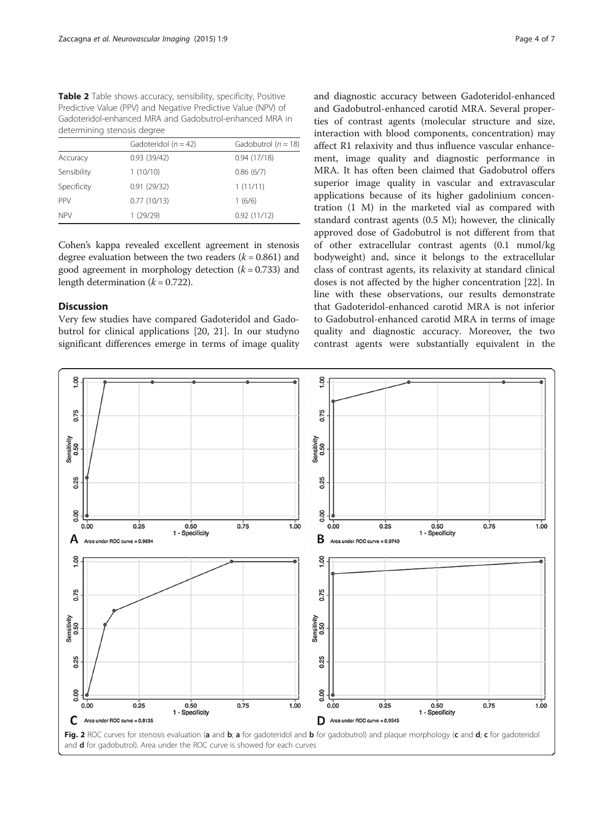<span id="page-3-0"></span>Table 2 Table shows accuracy, sensibility, specificity, Positive Predictive Value (PPV) and Negative Predictive Value (NPV) of Gadoteridol-enhanced MRA and Gadobutrol-enhanced MRA in determining stenosis degree

|             | Gadoteridol ( $n = 42$ ) | Gadobutrol ( $n = 18$ ) |
|-------------|--------------------------|-------------------------|
| Accuracy    | 0.93(39/42)              | 0.94(17/18)             |
| Sensibility | 1(10/10)                 | 0.86(6/7)               |
| Specificity | 0.91(29/32)              | 1(11/11)                |
| <b>PPV</b>  | 0.77(10/13)              | 1(6/6)                  |
| <b>NPV</b>  | 1(29/29)                 | 0.92(11/12)             |

Cohen's kappa revealed excellent agreement in stenosis degree evaluation between the two readers  $(k = 0.861)$  and good agreement in morphology detection  $(k = 0.733)$  and length determination  $(k = 0.722)$ .

# **Discussion**

Very few studies have compared Gadoteridol and Gadobutrol for clinical applications [\[20, 21](#page-6-0)]. In our studyno significant differences emerge in terms of image quality and Gadobutrol-enhanced carotid MRA. Several properties of contrast agents (molecular structure and size, interaction with blood components, concentration) may affect R1 relaxivity and thus influence vascular enhancement, image quality and diagnostic performance in MRA. It has often been claimed that Gadobutrol offers superior image quality in vascular and extravascular applications because of its higher gadolinium concentration (1 M) in the marketed vial as compared with standard contrast agents (0.5 M); however, the clinically approved dose of Gadobutrol is not different from that of other extracellular contrast agents (0.1 mmol/kg bodyweight) and, since it belongs to the extracellular class of contrast agents, its relaxivity at standard clinical doses is not affected by the higher concentration [[22](#page-6-0)]. In line with these observations, our results demonstrate that Gadoteridol-enhanced carotid MRA is not inferior to Gadobutrol-enhanced carotid MRA in terms of image quality and diagnostic accuracy. Moreover, the two contrast agents were substantially equivalent in the

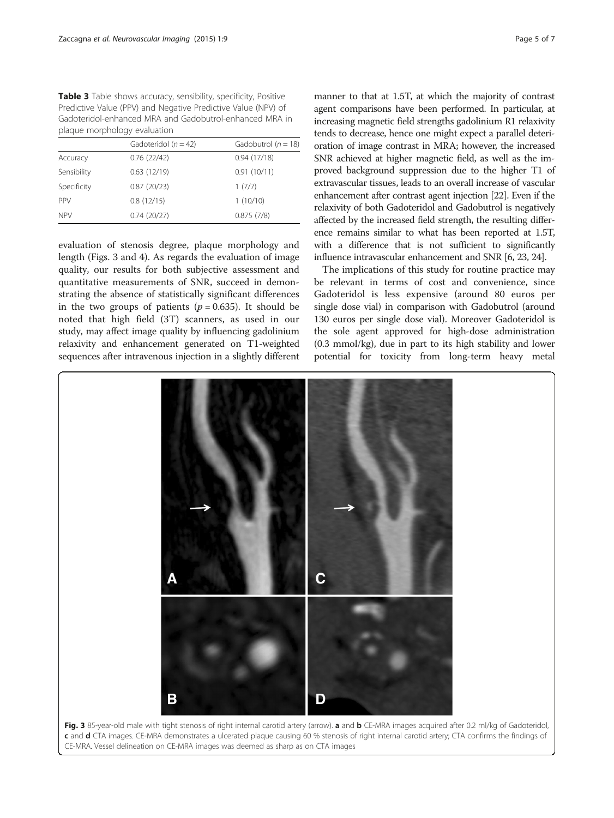<span id="page-4-0"></span>Table 3 Table shows accuracy, sensibility, specificity, Positive Predictive Value (PPV) and Negative Predictive Value (NPV) of Gadoteridol-enhanced MRA and Gadobutrol-enhanced MRA in plaque morphology evaluation

|             | Gadoteridol ( $n = 42$ ) | Gadobutrol $(n = 18)$ |
|-------------|--------------------------|-----------------------|
| Accuracy    | 0.76(22/42)              | 0.94(17/18)           |
| Sensibility | 0.63(12/19)              | 0.91(10/11)           |
| Specificity | 0.87(20/23)              | 1(7/7)                |
| <b>PPV</b>  | 0.8(12/15)               | 1(10/10)              |
| <b>NPV</b>  | 0.74(20/27)              | 0.875(7/8)            |

evaluation of stenosis degree, plaque morphology and length (Figs. 3 and [4](#page-5-0)). As regards the evaluation of image quality, our results for both subjective assessment and quantitative measurements of SNR, succeed in demonstrating the absence of statistically significant differences in the two groups of patients ( $p = 0.635$ ). It should be noted that high field (3T) scanners, as used in our study, may affect image quality by influencing gadolinium relaxivity and enhancement generated on T1-weighted sequences after intravenous injection in a slightly different

manner to that at 1.5T, at which the majority of contrast agent comparisons have been performed. In particular, at increasing magnetic field strengths gadolinium R1 relaxivity tends to decrease, hence one might expect a parallel deterioration of image contrast in MRA; however, the increased SNR achieved at higher magnetic field, as well as the improved background suppression due to the higher T1 of extravascular tissues, leads to an overall increase of vascular enhancement after contrast agent injection [\[22\]](#page-6-0). Even if the relaxivity of both Gadoteridol and Gadobutrol is negatively affected by the increased field strength, the resulting difference remains similar to what has been reported at 1.5T, with a difference that is not sufficient to significantly influence intravascular enhancement and SNR [\[6](#page-6-0), [23](#page-6-0), [24](#page-6-0)].

The implications of this study for routine practice may be relevant in terms of cost and convenience, since Gadoteridol is less expensive (around 80 euros per single dose vial) in comparison with Gadobutrol (around 130 euros per single dose vial). Moreover Gadoteridol is the sole agent approved for high-dose administration (0.3 mmol/kg), due in part to its high stability and lower potential for toxicity from long-term heavy metal

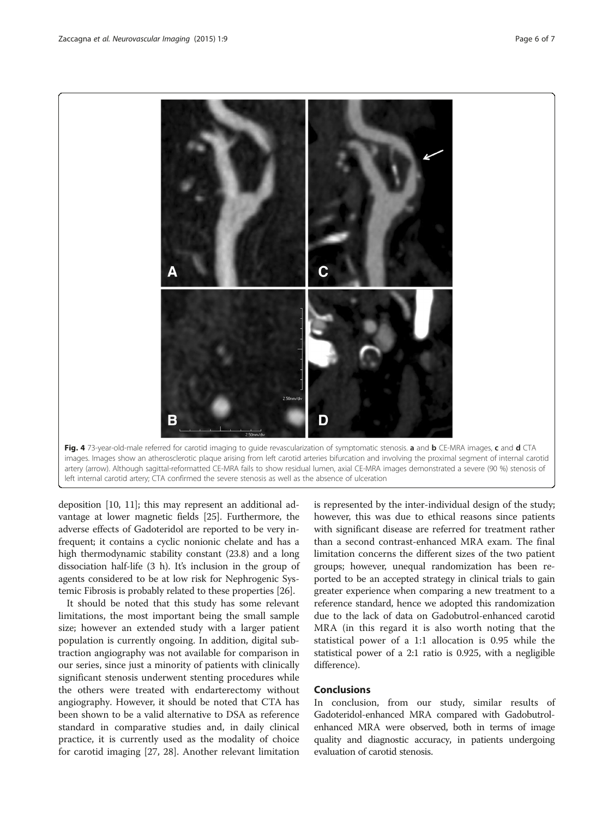<span id="page-5-0"></span>

deposition [\[10](#page-6-0), [11\]](#page-6-0); this may represent an additional advantage at lower magnetic fields [[25](#page-6-0)]. Furthermore, the adverse effects of Gadoteridol are reported to be very infrequent; it contains a cyclic nonionic chelate and has a high thermodynamic stability constant (23.8) and a long dissociation half-life (3 h). It's inclusion in the group of agents considered to be at low risk for Nephrogenic Systemic Fibrosis is probably related to these properties [\[26](#page-6-0)].

It should be noted that this study has some relevant limitations, the most important being the small sample size; however an extended study with a larger patient population is currently ongoing. In addition, digital subtraction angiography was not available for comparison in our series, since just a minority of patients with clinically significant stenosis underwent stenting procedures while the others were treated with endarterectomy without angiography. However, it should be noted that CTA has been shown to be a valid alternative to DSA as reference standard in comparative studies and, in daily clinical practice, it is currently used as the modality of choice for carotid imaging [\[27, 28](#page-6-0)]. Another relevant limitation

is represented by the inter-individual design of the study; however, this was due to ethical reasons since patients with significant disease are referred for treatment rather than a second contrast-enhanced MRA exam. The final limitation concerns the different sizes of the two patient groups; however, unequal randomization has been reported to be an accepted strategy in clinical trials to gain greater experience when comparing a new treatment to a reference standard, hence we adopted this randomization due to the lack of data on Gadobutrol-enhanced carotid MRA (in this regard it is also worth noting that the statistical power of a 1:1 allocation is 0.95 while the statistical power of a 2:1 ratio is 0.925, with a negligible difference).

# Conclusions

In conclusion, from our study, similar results of Gadoteridol-enhanced MRA compared with Gadobutrolenhanced MRA were observed, both in terms of image quality and diagnostic accuracy, in patients undergoing evaluation of carotid stenosis.